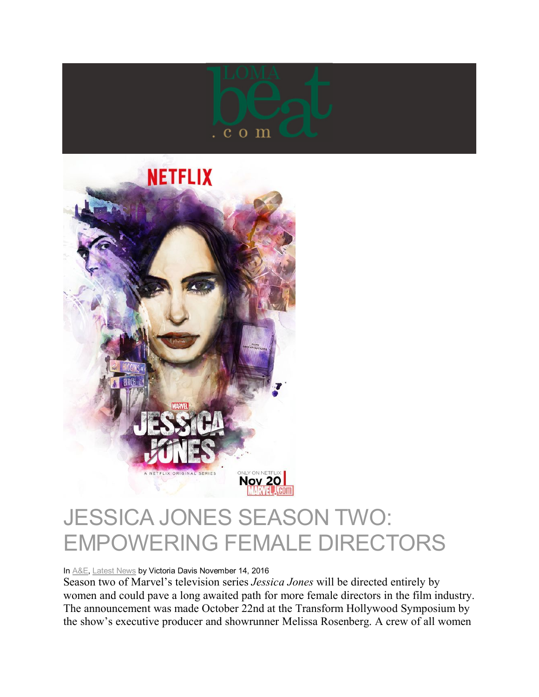



## JESSICA JONES SEASON TWO: EMPOWERING FEMALE DIRECTORS

In A&E, Latest News by Victoria Davis November 14, 2016

Season two of Marvel's television series *Jessica Jones* will be directed entirely by women and could pave a long awaited path for more female directors in the film industry. The announcement was made October 22nd at the Transform Hollywood Symposium by the show's executive producer and showrunner Melissa Rosenberg. A crew of all women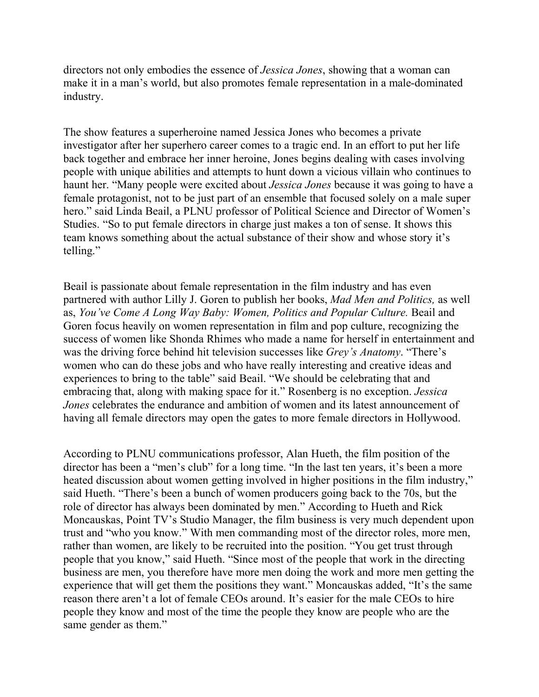directors not only embodies the essence of *Jessica Jones*, showing that a woman can make it in a man's world, but also promotes female representation in a male-dominated industry.

The show features a superheroine named Jessica Jones who becomes a private investigator after her superhero career comes to a tragic end. In an effort to put her life back together and embrace her inner heroine, Jones begins dealing with cases involving people with unique abilities and attempts to hunt down a vicious villain who continues to haunt her. "Many people were excited about *Jessica Jones* because it was going to have a female protagonist, not to be just part of an ensemble that focused solely on a male super hero." said Linda Beail, a PLNU professor of Political Science and Director of Women's Studies. "So to put female directors in charge just makes a ton of sense. It shows this team knows something about the actual substance of their show and whose story it's telling."

Beail is passionate about female representation in the film industry and has even partnered with author Lilly J. Goren to publish her books, *Mad Men and Politics,* as well as, *You've Come A Long Way Baby: Women, Politics and Popular Culture.* Beail and Goren focus heavily on women representation in film and pop culture, recognizing the success of women like Shonda Rhimes who made a name for herself in entertainment and was the driving force behind hit television successes like *Grey's Anatomy*. "There's women who can do these jobs and who have really interesting and creative ideas and experiences to bring to the table" said Beail. "We should be celebrating that and embracing that, along with making space for it." Rosenberg is no exception. *Jessica Jones* celebrates the endurance and ambition of women and its latest announcement of having all female directors may open the gates to more female directors in Hollywood.

According to PLNU communications professor, Alan Hueth, the film position of the director has been a "men's club" for a long time. "In the last ten years, it's been a more heated discussion about women getting involved in higher positions in the film industry," said Hueth. "There's been a bunch of women producers going back to the 70s, but the role of director has always been dominated by men." According to Hueth and Rick Moncauskas, Point TV's Studio Manager, the film business is very much dependent upon trust and "who you know." With men commanding most of the director roles, more men, rather than women, are likely to be recruited into the position. "You get trust through people that you know," said Hueth. "Since most of the people that work in the directing business are men, you therefore have more men doing the work and more men getting the experience that will get them the positions they want." Moncauskas added, "It's the same reason there aren't a lot of female CEOs around. It's easier for the male CEOs to hire people they know and most of the time the people they know are people who are the same gender as them."